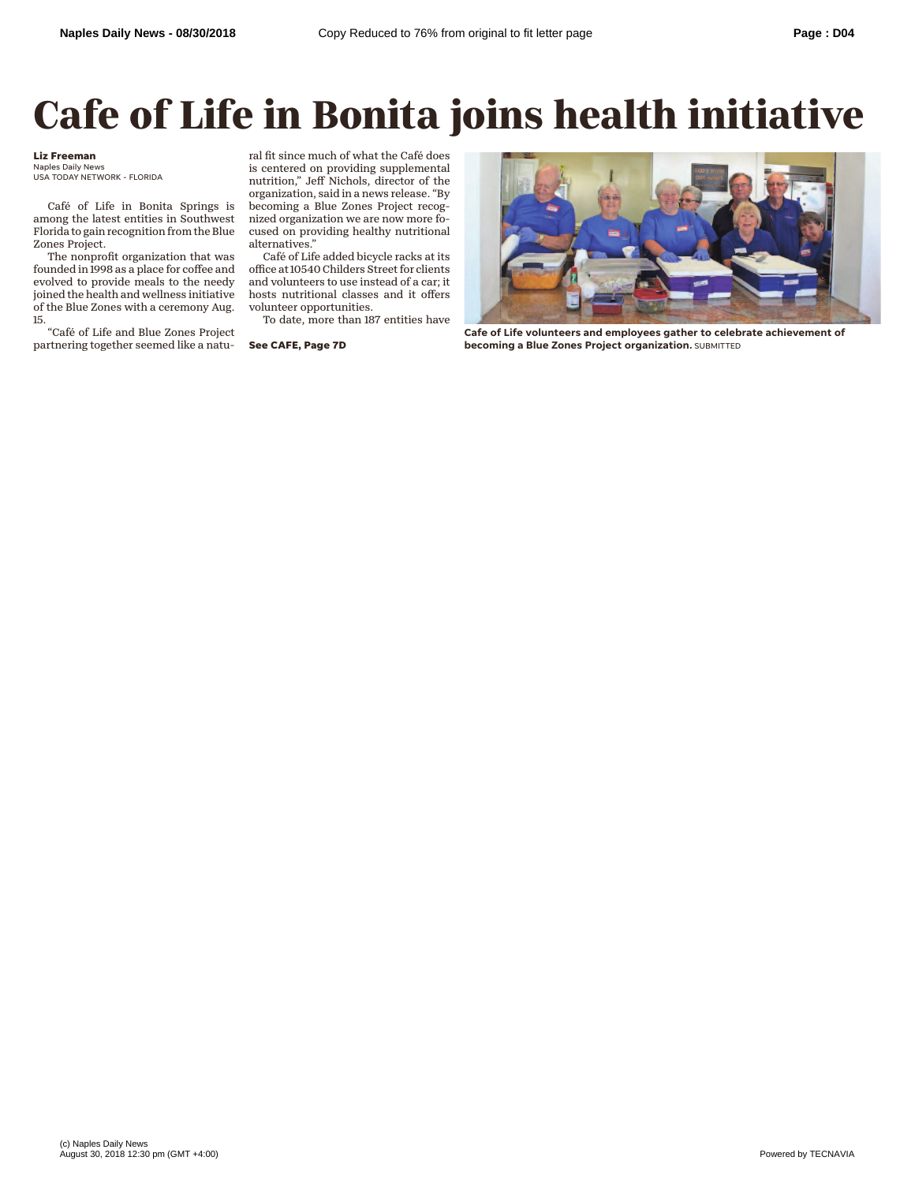## **Cafe of Life in Bonita joins health initiative**

## **Liz Freeman**

Naples Daily News USA TODAY NETWORK - FLORIDA

Café of Life in Bonita Springs is among the latest entities in Southwest Florida to gain recognition from the Blue Zones Project.

The nonprofit organization that was founded in 1998 as a place for coffee and evolved to provide meals to the needy joined the health and wellness initiative of the Blue Zones with a ceremony Aug. 15.

"Café of Life and Blue Zones Project partnering together seemed like a natural fit since much of what the Café does is centered on providing supplemental nutrition," Jeff Nichols, director of the organization, said in a news release. "By becoming a Blue Zones Project recognized organization we are now more focused on providing healthy nutritional alternatives."

Café of Life added bicycle racks at its office at 10540 Childers Street for clients and volunteers to use instead of a car; it hosts nutritional classes and it offers volunteer opportunities.

To date, more than 187 entities have

**See CAFE, Page 7D**



**Cafe of Life volunteers and employees gather to celebrate achievement of becoming a Blue Zones Project organization.** SUBMITTED